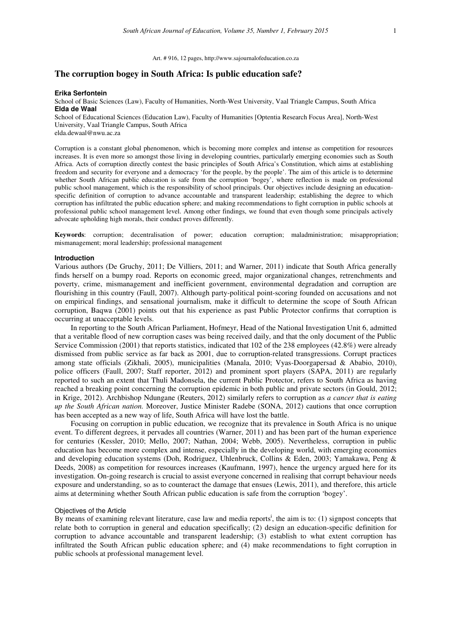### Art. # 916, 12 pages, http://www.sajournalofeducation.co.za

# **The corruption bogey in South Africa: Is public education safe?**

#### **Erika Serfontein**

School of Basic Sciences (Law), Faculty of Humanities, North-West University, Vaal Triangle Campus, South Africa **Elda de Waal** 

School of Educational Sciences (Education Law), Faculty of Humanities [Optentia Research Focus Area], North-West University, Vaal Triangle Campus, South Africa

elda.dewaal@nwu.ac.za

Corruption is a constant global phenomenon, which is becoming more complex and intense as competition for resources increases. It is even more so amongst those living in developing countries, particularly emerging economies such as South Africa. Acts of corruption directly contest the basic principles of South Africa's Constitution, which aims at establishing freedom and security for everyone and a democracy 'for the people, by the people'. The aim of this article is to determine whether South African public education is safe from the corruption 'bogey', where reflection is made on professional public school management, which is the responsibility of school principals. Our objectives include designing an educationspecific definition of corruption to advance accountable and transparent leadership; establishing the degree to which corruption has infiltrated the public education sphere; and making recommendations to fight corruption in public schools at professional public school management level. Among other findings, we found that even though some principals actively advocate upholding high morals, their conduct proves differently.

**Keywords**: corruption; decentralisation of power; education corruption; maladministration; misappropriation; mismanagement; moral leadership; professional management

### **Introduction**

Various authors (De Gruchy, 2011; De Villiers, 2011; and Warner, 2011) indicate that South Africa generally finds herself on a bumpy road. Reports on economic greed, major organizational changes, retrenchments and poverty, crime, mismanagement and inefficient government, environmental degradation and corruption are flourishing in this country (Faull, 2007). Although party-political point-scoring founded on accusations and not on empirical findings, and sensational journalism, make it difficult to determine the scope of South African corruption, Baqwa (2001) points out that his experience as past Public Protector confirms that corruption is occurring at unacceptable levels.

In reporting to the South African Parliament, Hofmeyr, Head of the National Investigation Unit 6, admitted that a veritable flood of new corruption cases was being received daily, and that the only document of the Public Service Commission (2001) that reports statistics, indicated that 102 of the 238 employees (42.8%) were already dismissed from public service as far back as 2001, due to corruption-related transgressions. Corrupt practices among state officials (Zikhali, 2005), municipalities (Manala, 2010; Vyas-Doorgapersad & Ababio, 2010), police officers (Faull, 2007; Staff reporter, 2012) and prominent sport players (SAPA, 2011) are regularly reported to such an extent that Thuli Madonsela, the current Public Protector, refers to South Africa as having reached a breaking point concerning the corruption epidemic in both public and private sectors (in Gould, 2012; in Krige, 2012). Archbishop Ndungane (Reuters, 2012) similarly refers to corruption as *a cancer that is eating up the South African nation.* Moreover, Justice Minister Radebe (SONA, 2012) cautions that once corruption has been accepted as a new way of life, South Africa will have lost the battle.

Focusing on corruption in public education, we recognize that its prevalence in South Africa is no unique event. To different degrees, it pervades all countries (Warner, 2011) and has been part of the human experience for centuries (Kessler, 2010; Mello, 2007; Nathan, 2004; Webb, 2005). Nevertheless, corruption in public education has become more complex and intense, especially in the developing world, with emerging economies and developing education systems (Doh, Rodriguez, Uhlenbruck, Collins & Eden, 2003; Yamakawa, Peng & Deeds, 2008) as competition for resources increases (Kaufmann, 1997), hence the urgency argued here for its investigation. On-going research is crucial to assist everyone concerned in realising that corrupt behaviour needs exposure and understanding, so as to counteract the damage that ensues (Lewis, 2011), and therefore, this article aims at determining whether South African public education is safe from the corruption 'bogey'.

### Objectives of the Article

By means of examining relevant literature, case law and media reports<sup>1</sup>, the aim is to: (1) signpost concepts that relate both to corruption in general and education specifically; (2) design an education-specific definition for corruption to advance accountable and transparent leadership; (3) establish to what extent corruption has infiltrated the South African public education sphere; and (4) make recommendations to fight corruption in public schools at professional management level.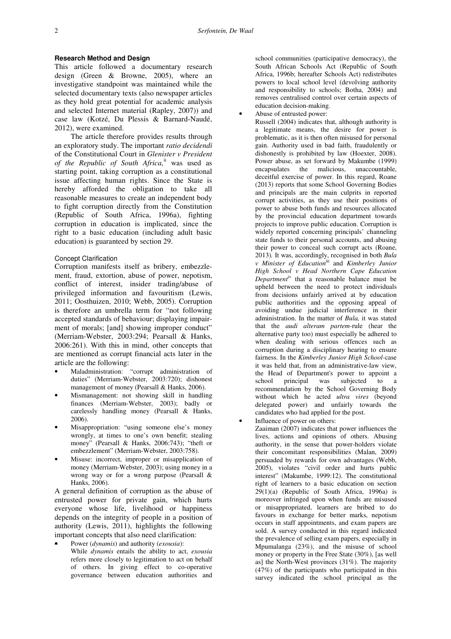## **Research Method and Design**

This article followed a documentary research design (Green & Browne, 2005), where an investigative standpoint was maintained while the selected documentary texts (also newspaper articles as they hold great potential for academic analysis and selected Internet material (Rapley, 2007)) and case law (Kotzé, Du Plessis & Barnard-Naudé, 2012), were examined.

The article therefore provides results through an exploratory study. The important *ratio decidendi* of the Constitutional Court in *Glenister v President of the Republic of South Africa,*ii was used as starting point, taking corruption as a constitutional issue affecting human rights. Since the State is hereby afforded the obligation to take all reasonable measures to create an independent body to fight corruption directly from the Constitution (Republic of South Africa, 1996a), fighting corruption in education is implicated, since the right to a basic education (including adult basic education) is guaranteed by section 29.

#### Concept Clarification

Corruption manifests itself as bribery, embezzlement, fraud, extortion, abuse of power, nepotism, conflict of interest, insider trading/abuse of privileged information and favouritism (Lewis, 2011; Oosthuizen, 2010; Webb, 2005). Corruption is therefore an umbrella term for "not following accepted standards of behaviour; displaying impairment of morals; [and] showing improper conduct" (Merriam-Webster, 2003:294; Pearsall & Hanks, 2006:261). With this in mind, other concepts that are mentioned as corrupt financial acts later in the article are the following:

- Maladministration: "corrupt administration of duties" (Merriam-Webster, 2003:720); dishonest management of money (Pearsall & Hanks, 2006).
- Mismanagement: not showing skill in handling finances (Merriam-Webster, 2003); badly or carelessly handling money (Pearsall & Hanks, 2006).
- Misappropriation: "using someone else's money wrongly, at times to one's own benefit; stealing money" (Pearsall & Hanks, 2006:743); "theft or embezzlement" (Merriam-Webster, 2003:758).
- Misuse: incorrect, improper or misapplication of money (Merriam-Webster, 2003); using money in a wrong way or for a wrong purpose (Pearsall & Hanks, 2006).

A general definition of corruption as the abuse of entrusted power for private gain, which hurts everyone whose life, livelihood or happiness depends on the integrity of people in a position of authority (Lewis, 2011), highlights the following important concepts that also need clarification:

• Power (*dynamis*) and authority (*exousia*): While *dynamis* entails the ability to act, *exousia*  refers more closely to legitimation to act on behalf of others. In giving effect to co-operative governance between education authorities and

school communities (participative democracy), the South African Schools Act (Republic of South Africa, 1996b; hereafter Schools Act) redistributes powers to local school level (devolving authority and responsibility to schools; Botha, 2004) and removes centralised control over certain aspects of education decision-making.

• Abuse of entrusted power:

Russell (2004) indicates that, although authority is a legitimate means, the desire for power is problematic, as it is then often misused for personal gain. Authority used in bad faith, fraudulently or dishonestly is prohibited by law (Hoexter, 2008). Power abuse, as set forward by Makumbe (1999) encapsulates the malicious, unaccountable, deceitful exercise of power. In this regard, Roane (2013) reports that some School Governing Bodies and principals are the main culprits in reported corrupt activities, as they use their positions of power to abuse both funds and resources allocated by the provincial education department towards projects to improve public education. Corruption is widely reported concerning principals' channeling state funds to their personal accounts, and abusing their power to conceal such corrupt acts (Roane, 2013)*.* It was, accordingly, recognised in both *Bula v Minister of Education*iii and *Kimberley Junior High School v Head Northern Cape Education Department*iv that a reasonable balance must be upheld between the need to protect individuals from decisions unfairly arrived at by education public authorities and the opposing appeal of avoiding undue judicial interference in their administration. In the matter of *Bula,* it was stated that the *audi alteram partem-*rule (hear the alternative party too) must especially be adhered to when dealing with serious offences such as corruption during a disciplinary hearing to ensure fairness. In the *Kimberley Junior High School-*case it was held that, from an administrative-law view, the Head of Department's power to appoint a school principal was subjected to a recommendation by the School Governing Body without which he acted *ultra vires* (beyond delegated power) and unfairly towards the candidates who had applied for the post.

Influence of power on others:

Zaaiman (2007) indicates that power influences the lives, actions and opinions of others. Abusing authority, in the sense that power-holders violate their concomitant responsibilities (Malan, 2009) persuaded by rewards for own advantages (Webb, 2005), violates "civil order and hurts public interest" (Makumbe, 1999:12). The constitutional right of learners to a basic education on section 29(1)(a) (Republic of South Africa, 1996a) is moreover infringed upon when funds are misused or misappropriated, learners are bribed to do favours in exchange for better marks, nepotism occurs in staff appointments, and exam papers are sold. A survey conducted in this regard indicated the prevalence of selling exam papers, especially in Mpumalanga (23%), and the misuse of school money or property in the Free State (30%), [as well as] the North-West provinces (31%). The majority (47%) of the participants who participated in this survey indicated the school principal as the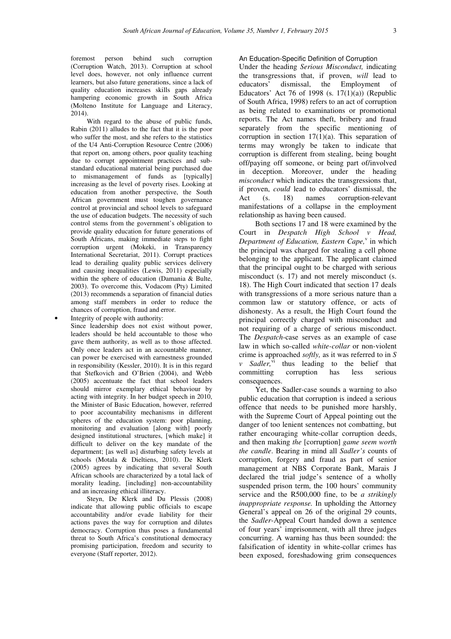foremost person behind such corruption (Corruption Watch, 2013). Corruption at school level does, however, not only influence current learners, but also future generations, since a lack of quality education increases skills gaps already hampering economic growth in South Africa (Molteno Institute for Language and Literacy, 2014)

With regard to the abuse of public funds, Rabin (2011) alludes to the fact that it is the poor who suffer the most, and she refers to the statistics of the U4 Anti-Corruption Resource Centre (2006) that report on, among others, poor quality teaching due to corrupt appointment practices and substandard educational material being purchased due to mismanagement of funds as [typically] increasing as the level of poverty rises. Looking at education from another perspective, the South African government must toughen governance control at provincial and school levels to safeguard the use of education budgets. The necessity of such control stems from the government's obligation to provide quality education for future generations of South Africans, making immediate steps to fight corruption urgent (Mokeki, in Transparency International Secretariat, 2011). Corrupt practices lead to derailing quality public services delivery and causing inequalities (Lewis, 2011) especially within the sphere of education (Damania & Bulte, 2003). To overcome this, Vodacom (Pty) Limited (2013) recommends a separation of financial duties among staff members in order to reduce the chances of corruption, fraud and error.

Integrity of people with authority: Since leadership does not exist without power, leaders should be held accountable to those who gave them authority, as well as to those affected. Only once leaders act in an accountable manner, can power be exercised with earnestness grounded in responsibility (Kessler, 2010). It is in this regard that Stefkovich and O'Brien (2004), and Webb (2005) accentuate the fact that school leaders should mirror exemplary ethical behaviour by acting with integrity. In her budget speech in 2010, the Minister of Basic Education, however, referred to poor accountability mechanisms in different spheres of the education system: poor planning, monitoring and evaluation [along with] poorly designed institutional structures, [which make] it difficult to deliver on the key mandate of the department; [as well as] disturbing safety levels at schools (Motala & Dieltiens, 2010). De Klerk (2005) agrees by indicating that several South African schools are characterized by a total lack of morality leading, [including] non-accountability and an increasing ethical illiteracy.

Steyn, De Klerk and Du Plessis (2008) indicate that allowing public officials to escape accountability and/or evade liability for their actions paves the way for corruption and dilutes democracy. Corruption thus poses a fundamental threat to South Africa's constitutional democracy promising participation, freedom and security to everyone (Staff reporter, 2012).

### An Education-Specific Definition of Corruption

Under the heading *Serious Misconduct,* indicating the transgressions that, if proven, *will* lead to educators' dismissal, the Employment of Educators' Act 76 of 1998 (s.  $17(1)(a)$ ) (Republic of South Africa, 1998) refers to an act of corruption as being related to examinations or promotional reports. The Act names theft, bribery and fraud separately from the specific mentioning of corruption in section  $17(1)(a)$ . This separation of terms may wrongly be taken to indicate that corruption is different from stealing, being bought off/paying off someone, or being part of/involved in deception. Moreover, under the heading *misconduct* which indicates the transgressions that, if proven, *could* lead to educators' dismissal, the Act (s. 18) names corruption-relevant manifestations of a collapse in the employment relationship as having been caused.

Both sections 17 and 18 were examined by the Court in *Despatch High School v Head,*  Department of Education, Eastern Cape,<sup>v</sup> in which the principal was charged for stealing a cell phone belonging to the applicant. The applicant claimed that the principal ought to be charged with serious misconduct (s. 17) and not merely misconduct (s. 18). The High Court indicated that section 17 deals with transgressions of a more serious nature than a common law or statutory offence, or acts of dishonesty. As a result, the High Court found the principal correctly charged with misconduct and not requiring of a charge of serious misconduct. The *Despatch*-case serves as an example of case law in which so-called *white-collar* or non-violent crime is approached *softly,* as it was referred to in *S v* Sadler,<sup>vi</sup> thus leading to the belief that committing corruption has less serious consequences.

Yet, the Sadler-case sounds a warning to also public education that corruption is indeed a serious offence that needs to be punished more harshly, with the Supreme Court of Appeal pointing out the danger of too lenient sentences not combatting, but rather encouraging white-collar corruption deeds, and then making *the* [corruption] *game seem worth the candle*. Bearing in mind all *Sadler's* counts of corruption, forgery and fraud as part of senior management at NBS Corporate Bank, Marais J declared the trial judge's sentence of a wholly suspended prison term, the 100 hours' community service and the R500,000 fine, to be *a strikingly inappropriate response.* In upholding the Attorney General's appeal on 26 of the original 29 counts, the *Sadler*-Appeal Court handed down a sentence of four years' imprisonment, with all three judges concurring. A warning has thus been sounded: the falsification of identity in white-collar crimes has been exposed, foreshadowing grim consequences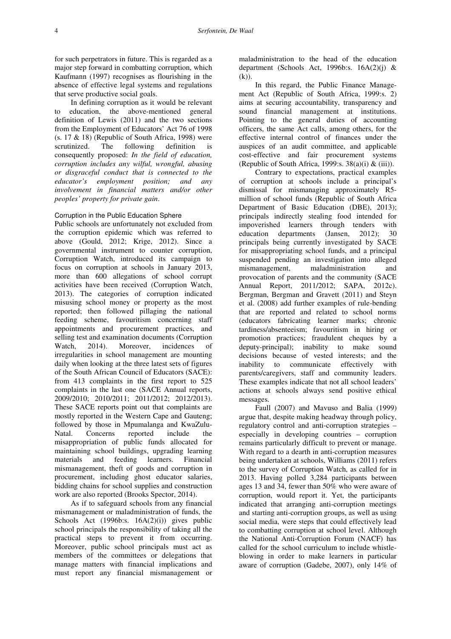for such perpetrators in future. This is regarded as a major step forward in combatting corruption, which Kaufmann (1997) recognises as flourishing in the absence of effective legal systems and regulations that serve productive social goals.

In defining corruption as it would be relevant to education, the above-mentioned general definition of Lewis (2011) and the two sections from the Employment of Educators' Act 76 of 1998  $(s. 17 \& 18)$  (Republic of South Africa, 1998) were scrutinized. The following definition is consequently proposed: *In the field of education, corruption includes any wilful, wrongful, abusing or disgraceful conduct that is connected to the educator's employment position; and any involvement in financial matters and/or other peoples' property for private gain*.

# Corruption in the Public Education Sphere

Public schools are unfortunately not excluded from the corruption epidemic which was referred to above (Gould, 2012; Krige, 2012). Since a governmental instrument to counter corruption, Corruption Watch, introduced its campaign to focus on corruption at schools in January 2013, more than 600 allegations of school corrupt activities have been received (Corruption Watch, 2013). The categories of corruption indicated misusing school money or property as the most reported; then followed pillaging the national feeding scheme, favouritism concerning staff appointments and procurement practices, and selling test and examination documents (Corruption<br>Watch, 2014). Moreover, incidences of Watch, 2014). Moreover, incidences of irregularities in school management are mounting daily when looking at the three latest sets of figures of the South African Council of Educators (SACE): from 413 complaints in the first report to 525 complaints in the last one (SACE Annual reports, 2009/2010; 2010/2011; 2011/2012; 2012/2013). These SACE reports point out that complaints are mostly reported in the Western Cape and Gauteng; followed by those in Mpumalanga and KwaZulu-Natal. Concerns reported include the misappropriation of public funds allocated for maintaining school buildings, upgrading learning materials and feeding learners. Financial mismanagement, theft of goods and corruption in procurement, including ghost educator salaries, bidding chains for school supplies and construction work are also reported (Brooks Spector, 2014).

As if to safeguard schools from any financial mismanagement or maladministration of funds, the Schools Act (1996b:s. 16A(2)(i)) gives public school principals the responsibility of taking all the practical steps to prevent it from occurring. Moreover, public school principals must act as members of the committees or delegations that manage matters with financial implications and must report any financial mismanagement or

maladministration to the head of the education department (Schools Act, 1996b:s.  $16A(2)(i)$  & (k)).

In this regard, the Public Finance Management Act (Republic of South Africa, 1999:s. 2) aims at securing accountability, transparency and sound financial management at institutions. Pointing to the general duties of accounting officers, the same Act calls, among others, for the effective internal control of finances under the auspices of an audit committee, and applicable cost-effective and fair procurement systems (Republic of South Africa, 1999:s.  $38(a)(i) \& (iii)$ ).

Contrary to expectations, practical examples of corruption at schools include a principal's dismissal for mismanaging approximately R5 million of school funds (Republic of South Africa Department of Basic Education (DBE), 2013); principals indirectly stealing food intended for impoverished learners through tenders with education departments (Jansen, 2012); 30 principals being currently investigated by SACE for misappropriating school funds, and a principal suspended pending an investigation into alleged mismanagement, maladministration and provocation of parents and the community (SACE Annual Report, 2011/2012; SAPA, 2012c). Bergman, Bergman and Gravett (2011) and Steyn et al. (2008) add further examples of rule-bending that are reported and related to school norms (educators fabricating learner marks; chronic tardiness/absenteeism; favouritism in hiring or promotion practices; fraudulent cheques by a deputy-principal); inability to make sound decisions because of vested interests; and the inability to communicate effectively with parents/caregivers, staff and community leaders. These examples indicate that not all school leaders' actions at schools always send positive ethical messages.

Faull (2007) and Mavuso and Balia (1999) argue that, despite making headway through policy, regulatory control and anti-corruption strategies – especially in developing countries – corruption remains particularly difficult to prevent or manage. With regard to a dearth in anti-corruption measures being undertaken at schools, Williams (2011) refers to the survey of Corruption Watch, as called for in 2013. Having polled 3,284 participants between ages 13 and 34, fewer than 50% who were aware of corruption, would report it. Yet, the participants indicated that arranging anti-corruption meetings and starting anti-corruption groups, as well as using social media, were steps that could effectively lead to combatting corruption at school level. Although the National Anti-Corruption Forum (NACF) has called for the school curriculum to include whistleblowing in order to make learners in particular aware of corruption (Gadebe, 2007), only 14% of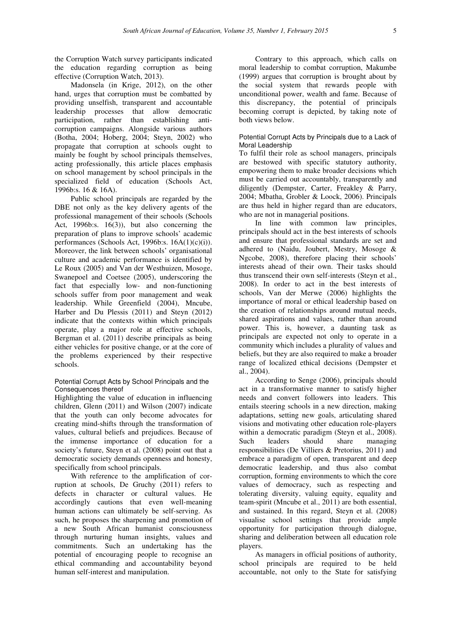the Corruption Watch survey participants indicated the education regarding corruption as being effective (Corruption Watch, 2013).

Madonsela (in Krige, 2012), on the other hand, urges that corruption must be combatted by providing unselfish, transparent and accountable leadership processes that allow democratic participation, rather than establishing anticorruption campaigns. Alongside various authors (Botha, 2004; Hoberg, 2004; Steyn, 2002) who propagate that corruption at schools ought to mainly be fought by school principals themselves, acting professionally, this article places emphasis on school management by school principals in the specialized field of education (Schools Act, 1996b:s. 16 & 16A).

Public school principals are regarded by the DBE not only as the key delivery agents of the professional management of their schools (Schools Act, 1996b:s. 16(3)), but also concerning the preparation of plans to improve schools' academic performances (Schools Act, 1996b:s. 16A(1)(c)(i)). Moreover, the link between schools' organisational culture and academic performance is identified by Le Roux (2005) and Van der Westhuizen, Mosoge, Swanepoel and Coetsee (2005), underscoring the fact that especially low- and non-functioning schools suffer from poor management and weak leadership. While Greenfield (2004), Mncube, Harber and Du Plessis (2011) and Steyn (2012) indicate that the contexts within which principals operate, play a major role at effective schools, Bergman et al. (2011) describe principals as being either vehicles for positive change, or at the core of the problems experienced by their respective schools.

## Potential Corrupt Acts by School Principals and the Consequences thereof

Highlighting the value of education in influencing children, Glenn (2011) and Wilson (2007) indicate that the youth can only become advocates for creating mind-shifts through the transformation of values, cultural beliefs and prejudices. Because of the immense importance of education for a society's future, Steyn et al. (2008) point out that a democratic society demands openness and honesty, specifically from school principals.

With reference to the amplification of corruption at schools, De Gruchy (2011) refers to defects in character or cultural values. He accordingly cautions that even well-meaning human actions can ultimately be self-serving. As such, he proposes the sharpening and promotion of a new South African humanist consciousness through nurturing human insights, values and commitments. Such an undertaking has the potential of encouraging people to recognise an ethical commanding and accountability beyond human self-interest and manipulation.

Contrary to this approach, which calls on moral leadership to combat corruption, Makumbe (1999) argues that corruption is brought about by the social system that rewards people with unconditional power, wealth and fame. Because of this discrepancy, the potential of principals becoming corrupt is depicted, by taking note of both views below.

# Potential Corrupt Acts by Principals due to a Lack of Moral Leadership

To fulfil their role as school managers, principals are bestowed with specific statutory authority, empowering them to make broader decisions which must be carried out accountably, transparently and diligently (Dempster, Carter, Freakley & Parry, 2004; Mbatha, Grobler & Loock, 2006). Principals are thus held in higher regard than are educators, who are not in managerial positions.

In line with common law principles, principals should act in the best interests of schools and ensure that professional standards are set and adhered to (Naidu, Joubert, Mestry, Mosoge & Ngcobe, 2008), therefore placing their schools' interests ahead of their own. Their tasks should thus transcend their own self-interests (Steyn et al., 2008). In order to act in the best interests of schools, Van der Merwe (2006) highlights the importance of moral or ethical leadership based on the creation of relationships around mutual needs, shared aspirations and values, rather than around power. This is, however, a daunting task as principals are expected not only to operate in a community which includes a plurality of values and beliefs, but they are also required to make a broader range of localized ethical decisions (Dempster et al., 2004).

According to Senge (2006), principals should act in a transformative manner to satisfy higher needs and convert followers into leaders. This entails steering schools in a new direction, making adaptations, setting new goals, articulating shared visions and motivating other education role-players within a democratic paradigm (Stevn et al., 2008). Such leaders should share managing responsibilities (De Villiers & Pretorius, 2011) and embrace a paradigm of open, transparent and deep democratic leadership, and thus also combat corruption, forming environments to which the core values of democracy, such as respecting and tolerating diversity, valuing equity, equality and team-spirit (Mncube et al., 2011) are both essential, and sustained. In this regard, Steyn et al. (2008) visualise school settings that provide ample opportunity for participation through dialogue, sharing and deliberation between all education role players.

As managers in official positions of authority, school principals are required to be held accountable, not only to the State for satisfying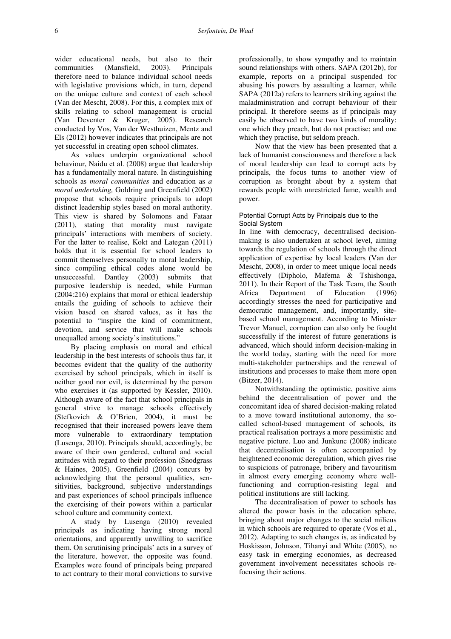wider educational needs, but also to their communities (Mansfield, 2003). Principals therefore need to balance individual school needs with legislative provisions which, in turn, depend on the unique culture and context of each school (Van der Mescht, 2008). For this, a complex mix of skills relating to school management is crucial (Van Deventer & Kruger, 2005). Research conducted by Vos, Van der Westhuizen, Mentz and Els (2012) however indicates that principals are not yet successful in creating open school climates.

As values underpin organizational school behaviour, Naidu et al. (2008) argue that leadership has a fundamentally moral nature. In distinguishing schools as *moral communities* and education as *a moral undertaking,* Goldring and Greenfield (2002) propose that schools require principals to adopt distinct leadership styles based on moral authority. This view is shared by Solomons and Fataar (2011), stating that morality must navigate principals' interactions with members of society. For the latter to realise, Kokt and Lategan (2011) holds that it is essential for school leaders to commit themselves personally to moral leadership, since compiling ethical codes alone would be unsuccessful. Dantley (2003) submits that purposive leadership is needed, while Furman (2004:216) explains that moral or ethical leadership entails the guiding of schools to achieve their vision based on shared values, as it has the potential to "inspire the kind of commitment, devotion, and service that will make schools unequalled among society's institutions*.*"

By placing emphasis on moral and ethical leadership in the best interests of schools thus far, it becomes evident that the quality of the authority exercised by school principals, which in itself is neither good nor evil, is determined by the person who exercises it (as supported by Kessler, 2010). Although aware of the fact that school principals in general strive to manage schools effectively (Stefkovich & O'Brien, 2004), it must be recognised that their increased powers leave them more vulnerable to extraordinary temptation (Lusenga, 2010). Principals should, accordingly, be aware of their own gendered, cultural and social attitudes with regard to their profession (Snodgrass & Haines, 2005). Greenfield (2004) concurs by acknowledging that the personal qualities, sensitivities, background, subjective understandings and past experiences of school principals influence the exercising of their powers within a particular school culture and community context.

A study by Lusenga (2010) revealed principals as indicating having strong moral orientations, and apparently unwilling to sacrifice them. On scrutinising principals' acts in a survey of the literature, however, the opposite was found. Examples were found of principals being prepared to act contrary to their moral convictions to survive

professionally, to show sympathy and to maintain sound relationships with others. SAPA (2012b), for example, reports on a principal suspended for abusing his powers by assaulting a learner, while SAPA (2012a) refers to learners striking against the maladministration and corrupt behaviour of their principal. It therefore seems as if principals may easily be observed to have two kinds of morality: one which they preach, but do not practise; and one which they practise, but seldom preach.

Now that the view has been presented that a lack of humanist consciousness and therefore a lack of moral leadership can lead to corrupt acts by principals, the focus turns to another view of corruption as brought about by a system that rewards people with unrestricted fame, wealth and power.

### Potential Corrupt Acts by Principals due to the Social System

In line with democracy, decentralised decisionmaking is also undertaken at school level, aiming towards the regulation of schools through the direct application of expertise by local leaders (Van der Mescht, 2008), in order to meet unique local needs effectively (Dipholo, Mafema & Tshishonga, 2011). In their Report of the Task Team, the South Africa Department of Education (1996) accordingly stresses the need for participative and democratic management, and, importantly, sitebased school management. According to Minister Trevor Manuel, corruption can also only be fought successfully if the interest of future generations is advanced, which should inform decision-making in the world today, starting with the need for more multi-stakeholder partnerships and the renewal of institutions and processes to make them more open (Bitzer, 2014).

Notwithstanding the optimistic, positive aims behind the decentralisation of power and the concomitant idea of shared decision-making related to a move toward institutional autonomy, the socalled school-based management of schools, its practical realisation portrays a more pessimistic and negative picture. Luo and Junkunc (2008) indicate that decentralisation is often accompanied by heightened economic deregulation, which gives rise to suspicions of patronage, bribery and favouritism in almost every emerging economy where wellfunctioning and corruption-resisting legal and political institutions are still lacking.

The decentralisation of power to schools has altered the power basis in the education sphere, bringing about major changes to the social milieus in which schools are required to operate (Vos et al., 2012). Adapting to such changes is, as indicated by Hoskisson, Johnson, Tihanyi and White (2005), no easy task in emerging economies, as decreased government involvement necessitates schools refocusing their actions.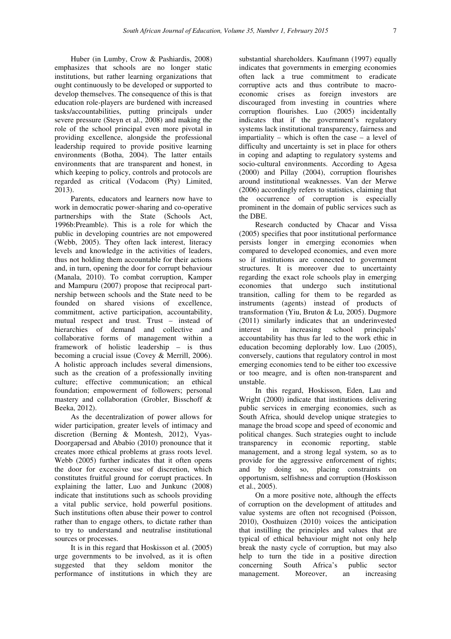Huber (in Lumby, Crow & Pashiardis, 2008) emphasizes that schools are no longer static institutions, but rather learning organizations that ought continuously to be developed or supported to develop themselves. The consequence of this is that education role-players are burdened with increased tasks/accountabilities, putting principals under severe pressure (Steyn et al., 2008) and making the role of the school principal even more pivotal in providing excellence, alongside the professional leadership required to provide positive learning environments (Botha, 2004). The latter entails environments that are transparent and honest, in which keeping to policy, controls and protocols are regarded as critical (Vodacom (Pty) Limited, 2013).

Parents, educators and learners now have to work in democratic power-sharing and co-operative partnerships with the State (Schools Act, 1996b:Preamble). This is a role for which the public in developing countries are not empowered (Webb, 2005). They often lack interest, literacy levels and knowledge in the activities of leaders, thus not holding them accountable for their actions and, in turn, opening the door for corrupt behaviour (Manala, 2010). To combat corruption, Kamper and Mampuru (2007) propose that reciprocal partnership between schools and the State need to be founded on shared visions of excellence, commitment, active participation, accountability, mutual respect and trust. Trust – instead of hierarchies of demand and collective and collaborative forms of management within a framework of holistic leadership – is thus becoming a crucial issue (Covey & Merrill, 2006). A holistic approach includes several dimensions, such as the creation of a professionally inviting culture; effective communication; an ethical foundation; empowerment of followers; personal mastery and collaboration (Grobler, Bisschoff & Beeka, 2012).

As the decentralization of power allows for wider participation, greater levels of intimacy and discretion (Berning & Montesh, 2012), Vyas-Doorgapersad and Ababio (2010) pronounce that it creates more ethical problems at grass roots level. Webb (2005) further indicates that it often opens the door for excessive use of discretion, which constitutes fruitful ground for corrupt practices. In explaining the latter, Luo and Junkunc (2008) indicate that institutions such as schools providing a vital public service, hold powerful positions. Such institutions often abuse their power to control rather than to engage others, to dictate rather than to try to understand and neutralise institutional sources or processes.

It is in this regard that Hoskisson et al. (2005) urge governments to be involved, as it is often suggested that they seldom monitor the performance of institutions in which they are

substantial shareholders. Kaufmann (1997) equally indicates that governments in emerging economies often lack a true commitment to eradicate corruptive acts and thus contribute to macroeconomic crises as foreign investors are discouraged from investing in countries where corruption flourishes. Luo (2005) incidentally indicates that if the government's regulatory systems lack institutional transparency, fairness and impartiality – which is often the case – a level of difficulty and uncertainty is set in place for others in coping and adapting to regulatory systems and socio-cultural environments. According to Agesa (2000) and Pillay (2004), corruption flourishes around institutional weaknesses. Van der Merwe (2006) accordingly refers to statistics, claiming that the occurrence of corruption is especially prominent in the domain of public services such as the DBE.

Research conducted by Chacar and Vissa (2005) specifies that poor institutional performance persists longer in emerging economies when compared to developed economies, and even more so if institutions are connected to government structures. It is moreover due to uncertainty regarding the exact role schools play in emerging economies that undergo such institutional transition, calling for them to be regarded as instruments (agents) instead of products of transformation (Yiu, Bruton & Lu, 2005). Dugmore (2011) similarly indicates that an underinvested interest in increasing school principals' accountability has thus far led to the work ethic in education becoming deplorably low. Luo (2005), conversely, cautions that regulatory control in most emerging economies tend to be either too excessive or too meagre, and is often non-transparent and unstable.

In this regard, Hoskisson, Eden, Lau and Wright (2000) indicate that institutions delivering public services in emerging economies, such as South Africa, should develop unique strategies to manage the broad scope and speed of economic and political changes. Such strategies ought to include transparency in economic reporting, stable management, and a strong legal system, so as to provide for the aggressive enforcement of rights; and by doing so, placing constraints on opportunism, selfishness and corruption (Hoskisson et al., 2005).

On a more positive note, although the effects of corruption on the development of attitudes and value systems are often not recognised (Poisson, 2010), Oosthuizen (2010) voices the anticipation that instilling the principles and values that are typical of ethical behaviour might not only help break the nasty cycle of corruption, but may also help to turn the tide in a positive direction<br>concerning South Africa's public sector concerning South Africa's public sector management. Moreover, an increasing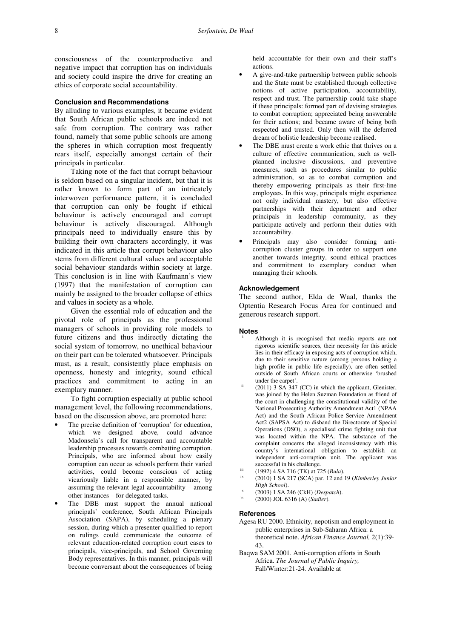consciousness of the counterproductive and negative impact that corruption has on individuals and society could inspire the drive for creating an ethics of corporate social accountability.

### **Conclusion and Recommendations**

By alluding to various examples, it became evident that South African public schools are indeed not safe from corruption. The contrary was rather found, namely that some public schools are among the spheres in which corruption most frequently rears itself, especially amongst certain of their principals in particular.

Taking note of the fact that corrupt behaviour is seldom based on a singular incident, but that it is rather known to form part of an intricately interwoven performance pattern, it is concluded that corruption can only be fought if ethical behaviour is actively encouraged and corrupt behaviour is actively discouraged. Although principals need to individually ensure this by building their own characters accordingly, it was indicated in this article that corrupt behaviour also stems from different cultural values and acceptable social behaviour standards within society at large. This conclusion is in line with Kaufmann's view (1997) that the manifestation of corruption can mainly be assigned to the broader collapse of ethics and values in society as a whole.

Given the essential role of education and the pivotal role of principals as the professional managers of schools in providing role models to future citizens and thus indirectly dictating the social system of tomorrow, no unethical behaviour on their part can be tolerated whatsoever. Principals must, as a result, consistently place emphasis on openness, honesty and integrity, sound ethical practices and commitment to acting in an exemplary manner.

To fight corruption especially at public school management level, the following recommendations, based on the discussion above, are promoted here:

- The precise definition of 'corruption' for education, which we designed above, could advance Madonsela's call for transparent and accountable leadership processes towards combatting corruption. Principals, who are informed about how easily corruption can occur as schools perform their varied activities, could become conscious of acting vicariously liable in a responsible manner, by assuming the relevant legal accountability – among other instances – for delegated tasks.
- The DBE must support the annual national principals' conference, South African Principals Association (SAPA), by scheduling a plenary session, during which a presenter qualified to report on rulings could communicate the outcome of relevant education-related corruption court cases to principals, vice-principals, and School Governing Body representatives. In this manner, principals will become conversant about the consequences of being

held accountable for their own and their staff's actions.

- A give-and-take partnership between public schools and the State must be established through collective notions of active participation, accountability, respect and trust. The partnership could take shape if these principals: formed part of devising strategies to combat corruption; appreciated being answerable for their actions; and became aware of being both respected and trusted. Only then will the deferred dream of holistic leadership become realised.
- The DBE must create a work ethic that thrives on a culture of effective communication, such as wellplanned inclusive discussions, and preventive measures, such as procedures similar to public administration, so as to combat corruption and thereby empowering principals as their first-line employees. In this way, principals might experience not only individual mastery, but also effective partnerships with their department and other principals in leadership community, as they participate actively and perform their duties with accountability.
- Principals may also consider forming anticorruption cluster groups in order to support one another towards integrity, sound ethical practices and commitment to exemplary conduct when managing their schools.

### **Acknowledgement**

The second author, Elda de Waal, thanks the Optentia Research Focus Area for continued and generous research support.

#### **Notes**

- Although it is recognised that media reports are not rigorous scientific sources, their necessity for this article lies in their efficacy in exposing acts of corruption which, due to their sensitive nature (among persons holding a high profile in public life especially), are often settled outside of South African courts or otherwise 'brushed under the carpet'.
- $(2011)$  3 SA  $347$  (CC) in which the applicant, Glenister, was joined by the Helen Suzman Foundation as friend of the court in challenging the constitutional validity of the National Prosecuting Authority Amendment Act1 (NPAA Act) and the South African Police Service Amendment Act2 (SAPSA Act) to disband the Directorate of Special Operations (DSO), a specialised crime fighting unit that was located within the NPA. The substance of the complaint concerns the alleged inconsistency with this country's international obligation to establish an independent anti-corruption unit. The applicant was successful in his challenge.
- ii. (1992) 4 SA 716 (TK) at 725 (*Bula*).<br>iv. (2010) 1 SA 217 (*SCA*) are 12 and i
- iv. (2010) 1 SA 217 (SCA) par. 12 and 19 (*Kimberley Junior High School*).
- v. (2003) 1 SA 246 (CkH) (*Despatch*).
- vi. (2000) JOL 6316 (A) (*Sadler*).

### **References**

- Agesa RU 2000. Ethnicity, nepotism and employment in public enterprises in Sub-Saharan Africa: a theoretical note. *African Finance Journal,* 2(1):39- 43.
- Baqwa SAM 2001. Anti-corruption efforts in South Africa. *The Journal of Public Inquiry,* Fall/Winter:21-24. Available at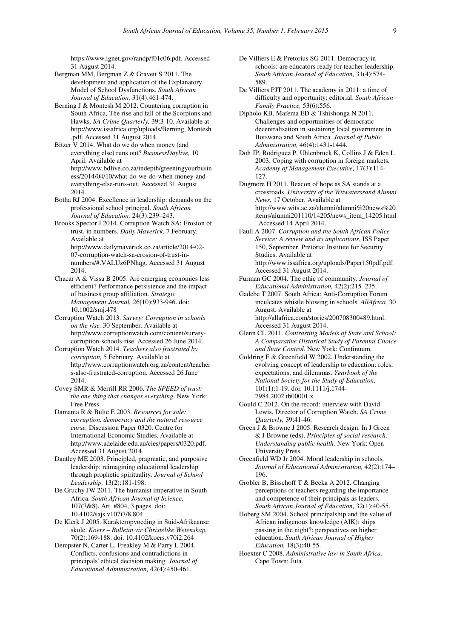https://www.ignet.gov/randp/f01c06.pdf. Accessed 31 August 2014.

- Bergman MM, Bergman Z & Gravett S 2011. The development and application of the Explanatory Model of School Dysfunctions. *South African Journal of Education,* 31(4):461-474.
- Berning J & Montesh M 2012. Countering corruption in South Africa, The rise and fall of the Scorpions and Hawks. *SA Crime Quarterly,* 39:3-10. Available at http://www.issafrica.org/uploads/Berning\_Montesh .pdf. Accessed 31 August 2014.
- Bitzer V 2014. What do we do when money (and everything else) runs out? *BusinessDaylive,* 10 April. Available at http://www.bdlive.co.za/indepth/greeningyourbusin ess/2014/04/10/what-do-we-do-when-money-andeverything-else-runs-out. Accessed 31 August 2014.
- Botha RJ 2004. Excellence in leadership: demands on the professional school principal. *South African Journal of Education,* 24(3):239–243.
- Brooks Spector J 2014. Corruption Watch SA: Erosion of trust, in numbers. *Daily Maverick,* 7 February. Available at http://www.dailymaverick.co.za/article/2014-02- 07-corruption-watch-sa-erosion-of-trust-in
	- numbers/#.VALUz6PNhqg. Accessed 31 August 2014.
- Chacar A & Vissa B 2005. Are emerging economies less efficient? Performance persistence and the impact of business group affiliation. *Strategic Management Journal,* 26(10):933-946. doi: 10.1002/smj.478
- Corruption Watch 2013. *Survey: Corruption in schools on the rise,* 30 September. Available at http://www.corruptionwatch.com/content/surveycorruption-schools-rise. Accessed 26 June 2014.
- Corruption Watch 2014. *Teachers also frustrated by corruption,* 5 February. Available at http://www.corruptionwatch.org.za/content/teacher s-also-frustrated-corruption. Accessed 26 June 2014.
- Covey SMR & Merrill RR 2006. *The SPEED of trust: the one thing that changes everything*. New York: Free Press.
- Damania R & Bulte E 2003. *Resources for sale: corruption, democracy and the natural resource curse.* Discussion Paper 0320. Centre for International Economic Studies. Available at http://www.adelaide.edu.au/cies/papers/0320.pdf. Accessed 31 August 2014.
- Dantley ME 2003. Principled, pragmatic, and purposive leadership: reimagining educational leadership through prophetic spirituality. *Journal of School Leadership,* 13(2):181-198.
- De Gruchy JW 2011. The humanist imperative in South Africa. *South African Journal of Science,*  107(7&8), Art. #804, 3 pages. doi: 10.4102/sajs.v107i7/8.804
- De Klerk J 2005. Karakteropvoeding in Suid-Afrikaanse skole. *Koers – Bulletin vir Christelike Wetenskap,* 70(2):169-188. doi: 10.4102/koers.v70i2.264
- Dempster N, Carter L, Freakley M & Parry L 2004. Conflicts, confusions and contradictions in principals' ethical decision making. *Journal of Educational Administration,* 42(4):450-461.
- De Villiers E & Pretorius SG 2011. Democracy in schools: are educators ready for teacher leadership. *South African Journal of Education,* 31(4):574- 589.
- De Villiers PJT 2011. The academy in 2011: a time of difficulty and opportunity: editorial. *South African Family Practice,* 53(6):556.
- Dipholo KB, Mafema ED & Tshishonga N 2011. Challenges and opportunities of democratic decentralisation in sustaining local government in Botswana and South Africa. *Journal of Public Administration,* 46(4):1431-1444.
- Doh JP, Rodriguez P, Uhlenbruck K, Collins J & Eden L 2003. Coping with corruption in foreign markets. *Academy of Management Executive,* 17(3):114- 127.
- Dugmore H 2011. Beacon of hope as SA stands at a crossroads. *University of the Witwatersrand Alumni News,* 17 October. Available at http://www.wits.ac.za/alumni/alumni%20news%20 items/alumni201110/14205/news\_item\_14205.html . Accessed 14 April 2014.
- Faull A 2007. *Corruption and the South African Police Service: A review and its implications.* ISS Paper 150, September. Pretoria: Institute for Security Studies. Available at http://www.issafrica.org/uploads/Paper150pdf.pdf. Accessed 31 August 2014.
- Furman GC 2004. The ethic of community. *Journal of Educational Administration,* 42(2):215–235.
- Gadebe T 2007. South Africa: Anti-Corruption Forum inculcates whistle blowing in schools. *AllAfrica,* 30 August. Available at http://allafrica.com/stories/200708300489.html. Accessed 31 August 2014.
- Glenn CL 2011. *Contrasting Models of State and School: A Comparative Historical Study of Parental Choice and State Control.* New York: Continuum.
- Goldring E & Greenfield W 2002. Understanding the evolving concept of leadership to education: roles, expectations, and dilemmas. *Yearbook of the National Society for the Study of Education,*  101(1):1-19. doi: 10.1111/j.1744- 7984.2002.tb00001.x
- Gould C 2012. On the record: interview with David Lewis, Director of Corruption Watch. *SA Crime Quarterly,* 39:41-46.
- Green J & Browne J 2005. Research design. In J Green & J Browne (eds). *Principles of social research: Understanding public health.* New York: Open University Press.
- Greenfield WD Jr 2004. Moral leadership in schools. *Journal of Educational Administration,* 42(2):174– 196.
- Grobler B, Bisschoff T & Beeka A 2012. Changing perceptions of teachers regarding the importance and competence of their principals as leaders. *South African Journal of Education,* 32(1):40-55.
- Hoberg SM 2004. School principalship and the value of African indigenous knowledge (AIK): ships passing in the night?: perspectives on higher education. *South African Journal of Higher Education,* 18(3):40-55.
- Hoexter C 2008. *Administrative law in South Africa.* Cape Town: Juta.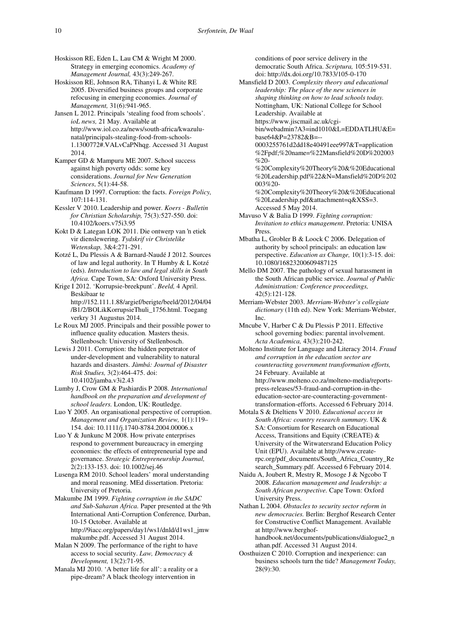Hoskisson RE, Eden L, Lau CM & Wright M 2000. Strategy in emerging economics. *Academy of Management Journal,* 43(3):249-267.

Hoskisson RE, Johnson RA, Tihanyi L & White RE 2005. Diversified business groups and corporate refocusing in emerging economies. *Journal of Management,* 31(6):941-965.

Jansen L 2012. Principals 'stealing food from schools'. *ioL news,* 21 May. Available at http://www.iol.co.za/news/south-africa/kwazulunatal/principals-stealing-food-from-schools-1.1300772#.VALvCaPNhqg. Accessed 31 August 2014.

Kamper GD & Mampuru ME 2007. School success against high poverty odds: some key considerations. *Journal for New Generation Sciences*, 5(1):44-58.

Kaufmann D 1997. Corruption: the facts. *Foreign Policy,*  107:114-131.

Kessler V 2010. Leadership and power. *Koers - Bulletin for Christian Scholarship,* 75(3)*:*527-550. doi: 10.4102/koers.v75i3.95

Kokt D & Lategan LOK 2011. Die ontwerp van 'n etiek vir dienslewering. *Tydskrif vir Christelike Wetenskap,* 3&4:271-291.

Kotzé L, Du Plessis A & Barnard-Naudé J 2012. Sources of law and legal authority. In T Humby & L Kotzé (eds). *Introduction to law and legal skills in South Africa.* Cape Town, SA: Oxford University Press.

Krige I 2012. 'Korrupsie-breekpunt'. *Beeld,* 4 April. Beskibaar te http://152.111.1.88/argief/berigte/beeld/2012/04/04 /B1/2/BOLikKorrupsieThuli\_1756.html. Toegang verkry 31 Augustus 2014.

Le Roux MJ 2005. Principals and their possible power to influence quality education*.* Masters thesis. Stellenbosch: University of Stellenbosch.

Lewis J 2011. Corruption: the hidden perpetrator of under-development and vulnerability to natural hazards and disasters. *Jàmbá: Journal of Disaster Risk Studies,* 3(2):464-475. doi: 10.4102/jamba.v3i2.43

Lumby J, Crow GM & Pashiardis P 2008. *International handbook on the preparation and development of school leaders.* London, UK: Routledge.

Luo Y 2005. An organisational perspective of corruption. *Management and Organization Review,* 1(1):119– 154. doi: 10.1111/j.1740-8784.2004.00006.x

Luo Y & Junkunc M 2008. How private enterprises respond to government bureaucracy in emerging economies: the effects of entrepreneurial type and governance. *Strategic Entrepreneurship Journal,*  2(2):133-153. doi: 10.1002/sej.46

Lusenga RM 2010. School leaders' moral understanding and moral reasoning. MEd dissertation. Pretoria: University of Pretoria.

Makumbe JM 1999. *Fighting corruption in the SADC and Sub-Saharan Africa.* Paper presented at the 9th International Anti-Corruption Conference*,* Durban, 10-15 October. Available at

http://9iacc.org/papers/day1/ws1/dnld/d1ws1\_jmw makumbe.pdf. Accessed 31 August 2014.

Malan N 2009. The performance of the right to have access to social security. *Law, Democracy & Development,* 13(2):71-95.

Manala MJ 2010. 'A better life for all': a reality or a pipe-dream? A black theology intervention in

conditions of poor service delivery in the democratic South Africa. *Scriptura,* 105:519-531. doi: http://dx.doi.org/10.7833/105-0-170

Mansfield D 2003. *Complexity theory and educational leadership: The place of the new sciences in shaping thinking on how to lead schools today.* Nottingham, UK: National College for School Leadership. Available at https://www.jiscmail.ac.uk/cgi-

bin/webadmin?A3=ind1010&L=EDDATLHU&E= base64&P=23782&B=--

0003255761d2dd18e40491eee997&T=application %2Fpdf;%20name=%22Mansfield%20D%202003 %20-

%20Complexity%20Theory%20&%20Educational %20Leadership.pdf%22&N=Mansfield%20D%202 003%20-

%20Complexity%20Theory%20&%20Educational %20Leadership.pdf&attachment=q&XSS=3. Accessed 5 May 2014.

Mavuso V & Balia D 1999. *Fighting corruption: Invitation to ethics management*. Pretoria: UNISA Press.

Mbatha L, Grobler B & Loock C 2006. Delegation of authority by school principals: an education law perspective. *Education as Change,* 10(1):3-15. doi: 10.1080/16823200609487125

Mello DM 2007. The pathology of sexual harassment in the South African public service. *Journal of Public Administration: Conference proceedings,*  42(5):121-128.

Merriam-Webster 2003. *Merriam-Webster's collegiate dictionary* (11th ed). New York: Merriam-Webster, Inc.

Mncube V, Harber C & Du Plessis P 2011. Effective school governing bodies: parental involvement. *Acta Academica,* 43(3):210-242.

Molteno Institute for Language and Literacy 2014. *Fraud and corruption in the education sector are counteracting government transformation efforts,*  24 February. Available at http://www.molteno.co.za/molteno-media/reportspress-releases/53-fraud-and-corruption-in-theeducation-sector-are-counteracting-governmenttransformation-efforts. Accessed 6 February 2014.

Motala S & Dieltiens V 2010. *Educational access in South Africa: country research summary.* UK & SA: Consortium for Research on Educational Access, Transitions and Equity (CREATE) & University of the Witwatersrand Education Policy Unit (EPU). Available at http://www.createrpc.org/pdf\_documents/South\_Africa\_Country\_Re search\_Summary.pdf. Accessed 6 February 2014.

Naidu A, Joubert R, Mestry R, Mosoge J & Ngcobo T 2008. *Education management and leadership: a South African perspective.* Cape Town: Oxford University Press.

Nathan L 2004. *Obstacles to security sector reform in new democracies.* Berlin: Berghof Research Center for Constructive Conflict Management. Available at http://www.berghofhandbook.net/documents/publications/dialogue2\_n athan.pdf. Accessed 31 August 2014.

Oosthuizen C 2010. Corruption and inexperience: can business schools turn the tide? *Management Today,*  28(9):30.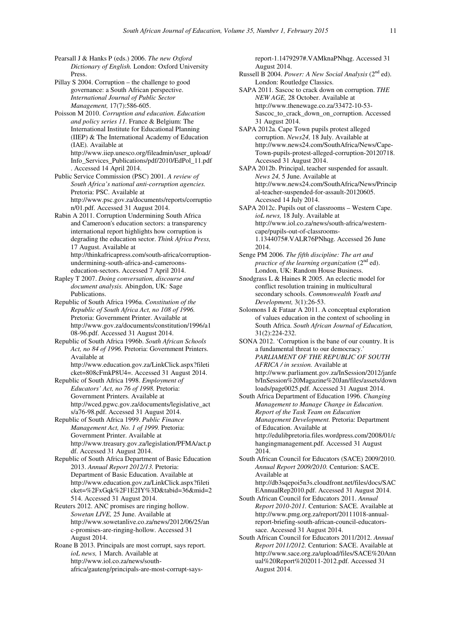Pearsall J & Hanks P (eds.) 2006. *The new Oxford Dictionary of English.* London: Oxford University Press.

Pillay S 2004. Corruption – the challenge to good governance: a South African perspective. *International Journal of Public Sector Management,* 17(7):586-605.

Poisson M 2010. *Corruption and education. Education and policy series 11.* France & Belgium: The International Institute for Educational Planning (IIEP) & The International Academy of Education (IAE)*.* Available at http://www.iiep.unesco.org/fileadmin/user\_upload/ Info\_Services\_Publications/pdf/2010/EdPol\_11.pdf

. Accessed 14 April 2014. Public Service Commission (PSC) 2001. *A review of South Africa's national anti-corruption agencies.* Pretoria: PSC. Available at http://www.psc.gov.za/documents/reports/corruptio n/01.pdf. Accessed 31 August 2014.

Rabin A 2011. Corruption Undermining South Africa and Cameroon's education sectors: a transparency international report highlights how corruption is degrading the education sector. *Think Africa Press,* 17 August. Available at http://thinkafricapress.com/south-africa/corruptionundermining-south-africa-and-cameroons-

education-sectors. Accessed 7 April 2014. Rapley T 2007. *Doing conversation, discourse and* 

*document analysis.* Abingdon, UK*:* Sage Publications. Republic of South Africa 1996a. *Constitution of the* 

*Republic of South Africa Act, no 108 of 1996.*  Pretoria: Government Printer. Available at http://www.gov.za/documents/constitution/1996/a1 08-96.pdf. Accessed 31 August 2014.

Republic of South Africa 1996b. *South African Schools Act, no 84 of 1996.* Pretoria: Government Printers. Available at http://www.education.gov.za/LinkClick.aspx?fileti

cket=808cFmkP8U4=. Accessed 31 August 2014.

Republic of South Africa 1998. *Employment of Educators' Act, no 76 of 1998.* Pretoria: Government Printers. Available at http://wced.pgwc.gov.za/documents/legislative\_act s/a76-98.pdf. Accessed 31 August 2014.

Republic of South Africa 1999. *Public Finance Management Act, No. 1 of 1999.* Pretoria: Government Printer. Available at http://www.treasury.gov.za/legislation/PFMA/act.p df. Accessed 31 August 2014.

Republic of South Africa Department of Basic Education 2013. *Annual Report 2012/13.* Pretoria: Department of Basic Education. Available at http://www.education.gov.za/LinkClick.aspx?fileti cket=%2FxGqk%2F1E2IY%3D&tabid=36&mid=2 514. Accessed 31 August 2014.

Reuters 2012. ANC promises are ringing hollow. *Sowetan LIVE,* 25 June. Available at http://www.sowetanlive.co.za/news/2012/06/25/an c-promises-are-ringing-hollow. Accessed 31 August 2014.

Roane B 2013. Principals are most corrupt, says report. *ioL news,* 1 March. Available at http://www.iol.co.za/news/southafrica/gauteng/principals-are-most-corrupt-says-

report-1.1479297#.VAMknaPNhqg. Accessed 31 August 2014.

Russell B 2004. *Power: A New Social Analysis* (2nd ed). London: Routledge Classics.

SAPA 2011. Sascoc to crack down on corruption. *THE NEW AGE,* 28 October. Available at http://www.thenewage.co.za/33472-10-53- Sascoc\_to\_crack\_down\_on\_corruption. Accessed 31 August 2014.

SAPA 2012a. Cape Town pupils protest alleged corruption. *News24,* 18 July. Available at http://www.news24.com/SouthAfrica/News/Cape-Town-pupils-protest-alleged-corruption-20120718. Accessed 31 August 2014.

SAPA 2012b. Principal, teacher suspended for assault. *News 24,* 5 June. Available at http://www.news24.com/SouthAfrica/News/Princip al-teacher-suspended-for-assault-20120605. Accessed 14 July 2014.

SAPA 2012c. Pupils out of classrooms – Western Cape. *ioL news,* 18 July. Available at http://www.iol.co.za/news/south-africa/westerncape/pupils-out-of-classrooms-1.1344075#.VALR76PNhqg. Accessed 26 June 2014.

Senge PM 2006. *The fifth discipline: The art and practice of the learning organization* (2<sup>nd</sup> ed). London, UK: Random House Business.

Snodgrass L & Haines R 2005. An eclectic model for conflict resolution training in multicultural secondary schools. *Commonwealth Youth and Development,* 3(1):26-53.

Solomons I & Fataar A 2011. A conceptual exploration of values education in the context of schooling in South Africa. *South African Journal of Education,*  31(2):224-232.

SONA 2012. 'Corruption is the bane of our country. It is a fundamental threat to our democracy.' *PARLIAMENT OF THE REPUBLIC OF SOUTH AFRICA / in session.* Available at http://www.parliament.gov.za/InSession/2012/janfe b/InSession%20Magazine%20Jan/files/assets/down loads/page0025.pdf. Accessed 31 August 2014.

South Africa Department of Education 1996. *Changing Management to Manage Change in Education. Report of the Task Team on Education Management Development.* Pretoria: Department of Education. Available at http://edulibpretoria.files.wordpress.com/2008/01/c hangingmanagement.pdf. Accessed 31 August 2014.

South African Council for Educators (SACE) 2009/2010. *Annual Report 2009/2010.* Centurion: SACE. Available at http://db3sqepoi5n3s.cloudfront.net/files/docs/SAC EAnnualRep2010.pdf. Accessed 31 August 2014.

South African Council for Educators 2011. *Annual Report 2010-2011.* Centurion: SACE. Available at http://www.pmg.org.za/report/20111018-annualreport-briefing-south-african-council-educatorssace. Accessed 31 August 2014.

South African Council for Educators 2011/2012. *Annual Report 2011/2012.* Centurion: SACE. Available at http://www.sace.org.za/upload/files/SACE%20Ann ual%20Report%202011-2012.pdf. Accessed 31 August 2014.